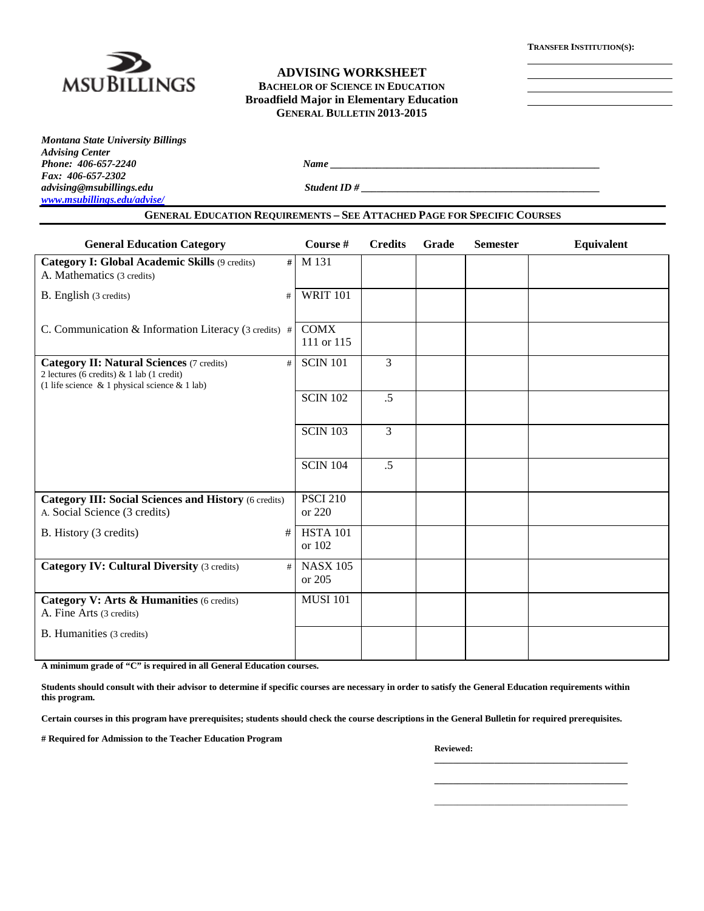

### **ADVISING WORKSHEET BACHELOR OF SCIENCE IN EDUCATION Broadfield Major in Elementary Education GENERAL BULLETIN 2013-2015**

*Montana State University Billings Advising Center Fax: 406-657-2302 advising@msubillings.edu Student ID # \_\_\_\_\_\_\_\_\_\_\_\_\_\_\_\_\_\_\_\_\_\_\_\_\_\_\_\_\_\_\_\_\_\_\_\_\_\_\_\_\_\_\_\_\_\_ [www.msubillings.edu/advise/](http://www.msubillings.edu/advise/)*

*Phone: 406-657-2240 Name \_\_\_\_\_\_\_\_\_\_\_\_\_\_\_\_\_\_\_\_\_\_\_\_\_\_\_\_\_\_\_\_\_\_\_\_\_\_\_\_\_\_\_\_\_\_\_\_\_\_\_\_*

| <b>General Education Category</b>                                                                                                                         | Course #                  | <b>Credits</b> | Grade | <b>Semester</b> | Equivalent |
|-----------------------------------------------------------------------------------------------------------------------------------------------------------|---------------------------|----------------|-------|-----------------|------------|
| <b>Category I: Global Academic Skills (9 credits)</b><br>#<br>A. Mathematics (3 credits)                                                                  | M 131                     |                |       |                 |            |
| B. English (3 credits)<br>#                                                                                                                               | <b>WRIT 101</b>           |                |       |                 |            |
| C. Communication & Information Literacy (3 credits) $\#$                                                                                                  | <b>COMX</b><br>111 or 115 |                |       |                 |            |
| <b>Category II: Natural Sciences (7 credits)</b><br>#<br>2 lectures (6 credits) & 1 lab (1 credit)<br>(1 life science $\&$ 1 physical science $\&$ 1 lab) | <b>SCIN 101</b>           | 3              |       |                 |            |
|                                                                                                                                                           | <b>SCIN 102</b>           | $.5\,$         |       |                 |            |
|                                                                                                                                                           | <b>SCIN 103</b>           | $\overline{3}$ |       |                 |            |
|                                                                                                                                                           | <b>SCIN 104</b>           | $.5\,$         |       |                 |            |
| <b>Category III: Social Sciences and History (6 credits)</b><br>A. Social Science (3 credits)                                                             | <b>PSCI 210</b><br>or 220 |                |       |                 |            |
| #<br>B. History (3 credits)                                                                                                                               | <b>HSTA 101</b><br>or 102 |                |       |                 |            |
| <b>Category IV: Cultural Diversity (3 credits)</b><br>#                                                                                                   | <b>NASX 105</b><br>or 205 |                |       |                 |            |
| Category V: Arts & Humanities (6 credits)<br>A. Fine Arts (3 credits)                                                                                     | <b>MUSI 101</b>           |                |       |                 |            |
| B. Humanities (3 credits)                                                                                                                                 |                           |                |       |                 |            |

**A minimum grade of "C" is required in all General Education courses.** 

**Students should consult with their advisor to determine if specific courses are necessary in order to satisfy the General Education requirements within this program.**

**Certain courses in this program have prerequisites; students should check the course descriptions in the General Bulletin for required prerequisites.**

**# Required for Admission to the Teacher Education Program**

**Reviewed:** 

**\_\_\_\_\_\_\_\_\_\_\_\_\_\_\_\_\_\_\_\_\_\_\_\_\_\_\_\_\_\_\_\_\_\_\_\_\_\_\_\_\_\_ \_\_\_\_\_\_\_\_\_\_\_\_\_\_\_\_\_\_\_\_\_\_\_\_\_\_\_\_\_\_\_\_\_\_\_\_\_\_\_\_\_\_** \_\_\_\_\_\_\_\_\_\_\_\_\_\_\_\_\_\_\_\_\_\_\_\_\_\_\_\_\_\_\_\_\_\_\_\_\_\_\_\_\_\_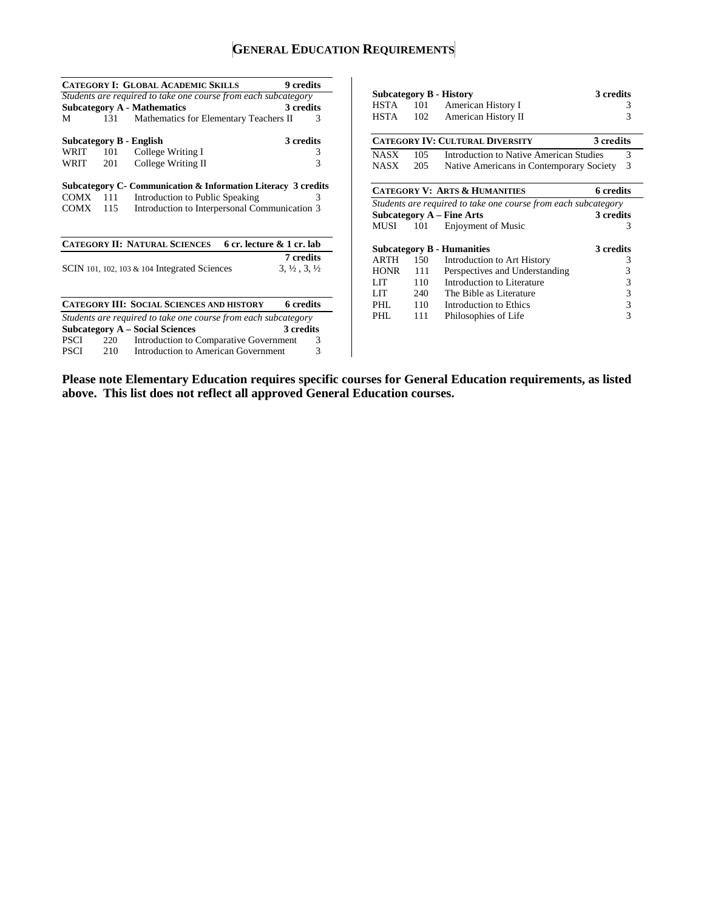# **GENERAL EDUCATION REQUIREMENTS**

|             |     | <b>CATEGORY I: GLOBAL ACADEMIC SKILLS</b>                      | 9 credits                        |
|-------------|-----|----------------------------------------------------------------|----------------------------------|
|             |     | Students are required to take one course from each subcategory |                                  |
|             |     | <b>Subcategory A - Mathematics</b>                             | 3 credits                        |
| М           | 131 | Mathematics for Elementary Teachers II                         | 3                                |
|             |     | Subcategory B - English                                        | 3 credits                        |
| WRIT        | 101 | College Writing I                                              | 3                                |
| WRIT        | 201 | College Writing II                                             | 3                                |
|             |     | Subcategory C - Communication & Information Literacy 3 credits |                                  |
| COMX        | 111 | Introduction to Public Speaking                                | 3                                |
| COMX        | 115 | Introduction to Interpersonal Communication 3                  |                                  |
|             |     | CATEGORY II: NATURAL SCIENCES                                  | 6 cr. lecture & 1 cr. lab        |
|             |     |                                                                | <b>7</b> credits                 |
|             |     | SCIN 101, 102, 103 $\&$ 104 Integrated Sciences                | $3, \frac{1}{2}, 3, \frac{1}{2}$ |
|             |     |                                                                |                                  |
|             |     | <b>CATEGORY III: SOCIAL SCIENCES AND HISTORY</b>               | 6 credits                        |
|             |     | Students are required to take one course from each subcategory |                                  |
|             |     | <b>Subcategory A – Social Sciences</b>                         | 3 credits                        |
| PSCI        | 220 | Introduction to Comparative Government                         | 3                                |
| <b>PSCI</b> | 210 | <b>Introduction to American Government</b>                     | 3                                |

|                                   |                                                     | <b>Subcategory B - History</b>                                 | 3 credits        |  |  |  |  |
|-----------------------------------|-----------------------------------------------------|----------------------------------------------------------------|------------------|--|--|--|--|
| $HSTA$ 101                        |                                                     | American History I                                             | 3                |  |  |  |  |
| HSTA                              | 102                                                 | American History II                                            | 3                |  |  |  |  |
|                                   |                                                     |                                                                |                  |  |  |  |  |
|                                   | <b>CATEGORY IV: CULTURAL DIVERSITY</b><br>3 credits |                                                                |                  |  |  |  |  |
| NASX.                             | 105                                                 | Introduction to Native American Studies                        | 3                |  |  |  |  |
| <b>NASX</b>                       | 205                                                 | Native Americans in Contemporary Society                       | 3                |  |  |  |  |
|                                   |                                                     |                                                                |                  |  |  |  |  |
|                                   |                                                     | <b>CATEGORY V: ARTS &amp; HUMANITIES</b>                       | <b>6</b> credits |  |  |  |  |
|                                   |                                                     | Students are required to take one course from each subcategory |                  |  |  |  |  |
|                                   |                                                     | Subcategory $A$ – Fine Arts                                    | 3 credits        |  |  |  |  |
| MUSI                              | 101                                                 | <b>Enjoyment of Music</b>                                      | 3                |  |  |  |  |
| <b>Subcategory B - Humanities</b> |                                                     |                                                                |                  |  |  |  |  |
|                                   |                                                     |                                                                | 3 credits        |  |  |  |  |
| <b>ARTH</b>                       | 150                                                 | Introduction to Art History                                    | 3                |  |  |  |  |
| <b>HONR</b>                       | 111                                                 | Perspectives and Understanding                                 | 3                |  |  |  |  |
| LIT                               | 110                                                 | Introduction to Literature                                     | 3                |  |  |  |  |
| LIT                               | 240                                                 | The Bible as Literature                                        | 3                |  |  |  |  |
| PHL                               | 110                                                 | Introduction to Ethics                                         | 3                |  |  |  |  |
| PHL.                              | 111                                                 | Philosophies of Life                                           | 3                |  |  |  |  |
|                                   |                                                     |                                                                |                  |  |  |  |  |

**Please note Elementary Education requires specific courses for General Education requirements, as listed above. This list does not reflect all approved General Education courses.**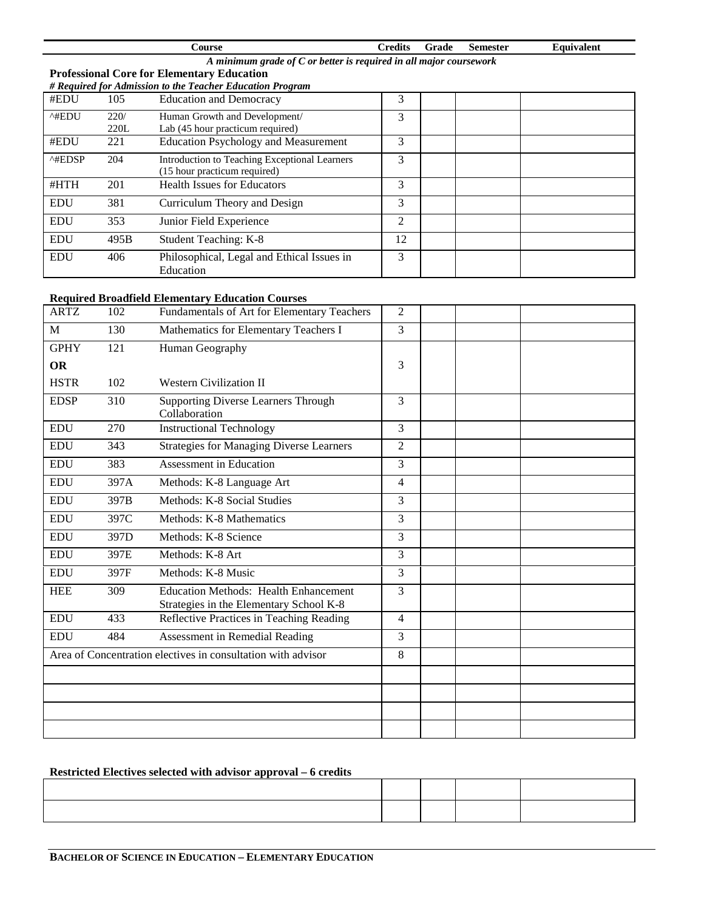| Course                                                             | <b>Credits</b> | Grade | <b>Semester</b> | <b>Equivalent</b> |  |  |  |
|--------------------------------------------------------------------|----------------|-------|-----------------|-------------------|--|--|--|
| A minimum grade of C or better is required in all major coursework |                |       |                 |                   |  |  |  |
| <b>Professional Core for Elementary Education</b>                  |                |       |                 |                   |  |  |  |
| <i># Required for Admission to the Teacher Education Program</i>   |                |       |                 |                   |  |  |  |
| $4$ ENIJ<br>Education and Democracy<br>1 A E                       |                |       |                 |                   |  |  |  |

| #EDU                    | 105  | <b>Education and Democracy</b>                | 3  |  |  |
|-------------------------|------|-----------------------------------------------|----|--|--|
| $^{\wedge\#EDU}$        | 220/ | Human Growth and Development/                 | 3  |  |  |
|                         | 220L | Lab (45 hour practicum required)              |    |  |  |
| #EDU                    | 221  | <b>Education Psychology and Measurement</b>   | 3  |  |  |
| $^{\wedge\text{HEDSP}}$ | 204  | Introduction to Teaching Exceptional Learners | 3  |  |  |
|                         |      | (15 hour practicum required)                  |    |  |  |
| #HTH                    | 201  | <b>Health Issues for Educators</b>            | 3  |  |  |
| <b>EDU</b>              | 381  | Curriculum Theory and Design                  | 3  |  |  |
| <b>EDU</b>              | 353  | Junior Field Experience                       | 2  |  |  |
| <b>EDU</b>              | 495B | Student Teaching: K-8                         | 12 |  |  |
| <b>EDU</b>              | 406  | Philosophical, Legal and Ethical Issues in    | 3  |  |  |
|                         |      | Education                                     |    |  |  |

## **Required Broadfield Elementary Education Courses**

| <b>ARTZ</b> | 102  | Fundamentals of Art for Elementary Teachers                                             | $\overline{2}$ |  |  |
|-------------|------|-----------------------------------------------------------------------------------------|----------------|--|--|
| M           | 130  | Mathematics for Elementary Teachers I                                                   | 3              |  |  |
| <b>GPHY</b> | 121  | Human Geography                                                                         |                |  |  |
| <b>OR</b>   |      |                                                                                         | 3              |  |  |
| <b>HSTR</b> | 102  | <b>Western Civilization II</b>                                                          |                |  |  |
| <b>EDSP</b> | 310  | <b>Supporting Diverse Learners Through</b><br>Collaboration                             | 3              |  |  |
| <b>EDU</b>  | 270  | <b>Instructional Technology</b>                                                         | $\overline{3}$ |  |  |
| <b>EDU</b>  | 343  | <b>Strategies for Managing Diverse Learners</b>                                         | $\overline{2}$ |  |  |
| <b>EDU</b>  | 383  | Assessment in Education                                                                 | 3              |  |  |
| <b>EDU</b>  | 397A | Methods: K-8 Language Art                                                               | $\overline{4}$ |  |  |
| <b>EDU</b>  | 397B | Methods: K-8 Social Studies                                                             | $\overline{3}$ |  |  |
| <b>EDU</b>  | 397C | Methods: K-8 Mathematics                                                                | $\overline{3}$ |  |  |
| <b>EDU</b>  | 397D | Methods: K-8 Science                                                                    | $\overline{3}$ |  |  |
| <b>EDU</b>  | 397E | Methods: K-8 Art                                                                        | $\overline{3}$ |  |  |
| <b>EDU</b>  | 397F | Methods: K-8 Music                                                                      | $\overline{3}$ |  |  |
| <b>HEE</b>  | 309  | <b>Education Methods: Health Enhancement</b><br>Strategies in the Elementary School K-8 | $\overline{3}$ |  |  |
| <b>EDU</b>  | 433  | Reflective Practices in Teaching Reading                                                | $\overline{4}$ |  |  |
| <b>EDU</b>  | 484  | Assessment in Remedial Reading                                                          | $\overline{3}$ |  |  |
|             |      | Area of Concentration electives in consultation with advisor                            | 8              |  |  |
|             |      |                                                                                         |                |  |  |
|             |      |                                                                                         |                |  |  |
|             |      |                                                                                         |                |  |  |
|             |      |                                                                                         |                |  |  |

# **Restricted Electives selected with advisor approval – 6 credits**